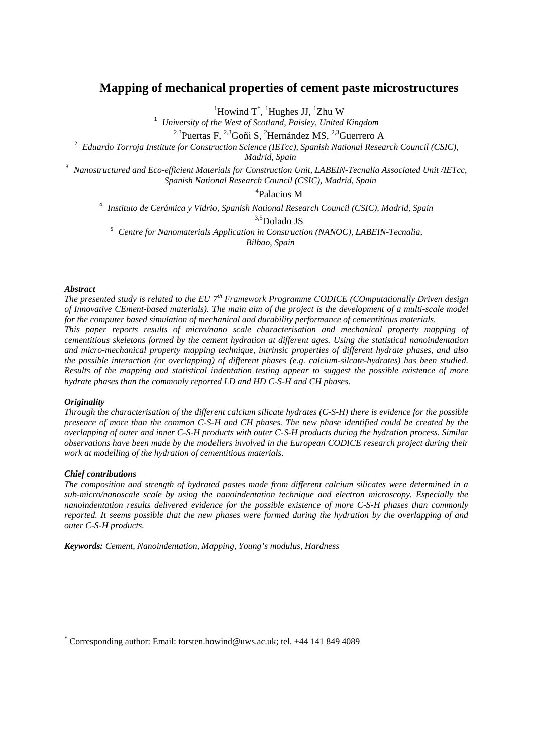# **Mapping of mechanical properties of cement paste microstructures**

 ${}^{1}$ Howind T<sup>\*</sup>,  ${}^{1}$ Hughes JJ,  ${}^{1}$ 

<sup>1</sup> *University of the West of Scotland, Paisley, United Kingdom* 

<sup>2,3</sup>Puertas F, <sup>2,3</sup>Goñi S, <sup>2</sup>Hernández MS, <sup>2,3</sup>Guerrero A

<sup>2</sup> Eduardo Torroja Institute for Construction Science (IETcc), Spanish National Research Council (CSIC),

*Madrid, Spain*

<sup>3</sup> *Nanostructured and Eco-efficient Materials for Construction Unit, LABEIN-Tecnalia Associated Unit /IETcc, Spanish National Research Council (CSIC), Madrid, Spain*

4 Palacios M

<sup>4</sup> *Instituto de Cerámica y Vidrio, Spanish National Research Council (CSIC), Madrid, Spain*

<sup>3,5</sup>Dolado JS<br><sup>5</sup> *Centre for Nanomaterials Application in Construction (NANOC), LABEIN-Tecnalia.* 

*Bilbao, Spain*

### *Abstract*

*The presented study is related to the EU 7th Framework Programme CODICE (COmputationally Driven design of Innovative CEment-based materials). The main aim of the project is the development of a multi-scale model for the computer based simulation of mechanical and durability performance of cementitious materials. This paper reports results of micro/nano scale characterisation and mechanical property mapping of cementitious skeletons formed by the cement hydration at different ages. Using the statistical nanoindentation and micro-mechanical property mapping technique, intrinsic properties of different hydrate phases, and also the possible interaction (or overlapping) of different phases (e.g. calcium-silcate-hydrates) has been studied. Results of the mapping and statistical indentation testing appear to suggest the possible existence of more hydrate phases than the commonly reported LD and HD C-S-H and CH phases.*

### *Originality*

*Through the characterisation of the different calcium silicate hydrates (C-S-H) there is evidence for the possible presence of more than the common C-S-H and CH phases. The new phase identified could be created by the overlapping of outer and inner C-S-H products with outer C-S-H products during the hydration process. Similar observations have been made by the modellers involved in the European CODICE research project during their work at modelling of the hydration of cementitious materials.*

### *Chief contributions*

*The composition and strength of hydrated pastes made from different calcium silicates were determined in a sub-micro/nanoscale scale by using the nanoindentation technique and electron microscopy. Especially the nanoindentation results delivered evidence for the possible existence of more C-S-H phases than commonly reported. It seems possible that the new phases were formed during the hydration by the overlapping of and outer C-S-H products.*

*Keywords: Cement, Nanoindentation, Mapping, Young's modulus, Hardness* 

\* Corresponding author: Email: torsten.howind@uws.ac.uk; tel. +44 141 849 4089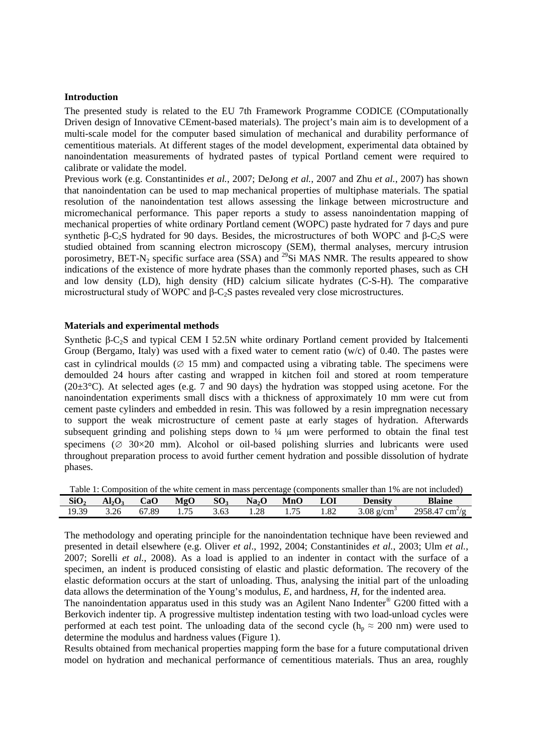### **Introduction**

The presented study is related to the EU 7th Framework Programme CODICE (COmputationally Driven design of Innovative CEment-based materials). The project's main aim is to development of a multi-scale model for the computer based simulation of mechanical and durability performance of cementitious materials. At different stages of the model development, experimental data obtained by nanoindentation measurements of hydrated pastes of typical Portland cement were required to calibrate or validate the model.

Previous work (e.g. Constantinides *et al.*, 2007; DeJong *et al.*, 2007 and Zhu *et al.*, 2007) has shown that nanoindentation can be used to map mechanical properties of multiphase materials. The spatial resolution of the nanoindentation test allows assessing the linkage between microstructure and micromechanical performance. This paper reports a study to assess nanoindentation mapping of mechanical properties of white ordinary Portland cement (WOPC) paste hydrated for 7 days and pure synthetic β-C<sub>2</sub>S hydrated for 90 days. Besides, the microstructures of both WOPC and β-C<sub>2</sub>S were studied obtained from scanning electron microscopy (SEM), thermal analyses, mercury intrusion porosimetry, BET-N<sub>2</sub> specific surface area (SSA) and <sup>29</sup>Si MAS NMR. The results appeared to show indications of the existence of more hydrate phases than the commonly reported phases, such as CH and low density (LD), high density (HD) calcium silicate hydrates (C-S-H). The comparative microstructural study of WOPC and β-C2S pastes revealed very close microstructures.

### **Materials and experimental methods**

Synthetic β-C<sub>2</sub>S and typical CEM I 52.5N white ordinary Portland cement provided by Italcementi Group (Bergamo, Italy) was used with a fixed water to cement ratio  $(w/c)$  of 0.40. The pastes were cast in cylindrical moulds ( $\varnothing$  15 mm) and compacted using a vibrating table. The specimens were demoulded 24 hours after casting and wrapped in kitchen foil and stored at room temperature (20 $\pm$ 3°C). At selected ages (e.g. 7 and 90 days) the hydration was stopped using acetone. For the nanoindentation experiments small discs with a thickness of approximately 10 mm were cut from cement paste cylinders and embedded in resin. This was followed by a resin impregnation necessary to support the weak microstructure of cement paste at early stages of hydration. Afterwards subsequent grinding and polishing steps down to  $\frac{1}{4}$  µm were performed to obtain the final test specimens ( $\varnothing$  30×20 mm). Alcohol or oil-based polishing slurries and lubricants were used throughout preparation process to avoid further cement hydration and possible dissolution of hydrate phases.

<span id="page-1-0"></span>

| Table 1: Composition of the white cement in mass percentage (components smaller than 1% are not included) |               |       |  |      |                            |      |            |                          |                            |
|-----------------------------------------------------------------------------------------------------------|---------------|-------|--|------|----------------------------|------|------------|--------------------------|----------------------------|
| SiO <sub>2</sub>                                                                                          | $Al_2O_3$ CaO |       |  |      | $MgO$ $SO_3$ $Na_2O$ $MnO$ |      | <b>LOI</b> | <b>Density</b>           | <b>Blaine</b>              |
| 19.39                                                                                                     | 3.26          | 67.89 |  | 3.63 | 1.28                       | 1.75 | 1.82       | $3.08$ g/cm <sup>3</sup> | 2958.47 cm <sup>2</sup> /g |

The methodology and operating principle for the nanoindentation technique have been reviewed and presented in detail elsewhere (e.g. Oliver *et al*., 1992, 2004; Constantinides *et al.*, 2003; Ulm *et al.*, 2007; Sorelli *et al.*, 2008). As a load is applied to an indenter in contact with the surface of a specimen, an indent is produced consisting of elastic and plastic deformation. The recovery of the elastic deformation occurs at the start of unloading. Thus, analysing the initial part of the unloading data allows the determination of the Young's modulus, *E*, and hardness, *H*, for the indented area.

The nanoindentation apparatus used in this study was an Agilent Nano Indenter® G200 fitted with a Berkovich indenter tip. A progressive multistep indentation testing with two load-unload cycles were performed at each test point. The unloading data of the second cycle ( $h_p \approx 200$  nm) were used to determine the modulus and hardness values [\(Figure 1\)](#page-2-0).

Results obtained from mechanical properties mapping form the base for a future computational driven model on hydration and mechanical performance of cementitious materials. Thus an area, roughly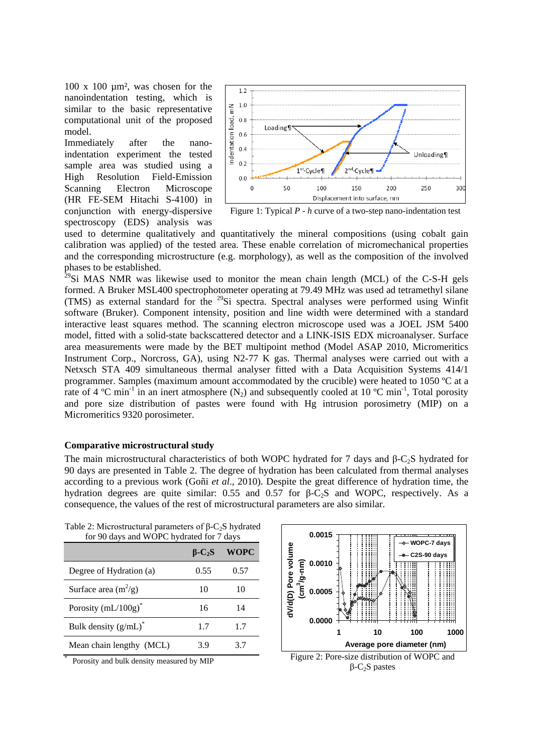100 x 100 µm², was chosen for the nanoindentation testing, which is similar to the basic representative computational unit of the proposed model.

Immediately after the nanoindentation experiment the tested sample area was studied using a High Resolution Field-Emission Scanning Electron Microscope (HR FE-SEM Hitachi S-4100) in conjunction with energy-dispersive spectroscopy (EDS) analysis was



<span id="page-2-0"></span>Figure 1: Typical *P - h* curve of a two-step nano-indentation test

used to determine qualitatively and quantitatively the mineral compositions (using cobalt gain calibration was applied) of the tested area. These enable correlation of micromechanical properties and the corresponding microstructure (e.g. morphology), as well as the composition of the involved

 $29$ Si MAS NMR was likewise used to monitor the mean chain length (MCL) of the C-S-H gels formed. A Bruker MSL400 spectrophotometer operating at 79.49 MHz was used ad tetramethyl silane (TMS) as external standard for the 29Si spectra. Spectral analyses were performed using Winfit software (Bruker). Component intensity, position and line width were determined with a standard interactive least squares method. The scanning electron microscope used was a JOEL JSM 5400 model, fitted with a solid-state backscattered detector and a LINK-ISIS EDX microanalyser. Surface area measurements were made by the BET multipoint method (Model ASAP 2010, Micromeritics Instrument Corp., Norcross, GA), using N2-77 K gas. Thermal analyses were carried out with a Netxsch STA 409 simultaneous thermal analyser fitted with a Data Acquisition Systems 414/1 programmer. Samples (maximum amount accommodated by the crucible) were heated to 1050 ºC at a rate of 4 °C min<sup>-1</sup> in an inert atmosphere (N<sub>2</sub>) and subsequently cooled at 10 °C min<sup>-1</sup>, Total porosity and pore size distribution of pastes were found with Hg intrusion porosimetry (MIP) on a Micromeritics 9320 porosimeter.

# **Comparative microstructural study**

The main microstructural characteristics of both WOPC hydrated for 7 days and  $\beta$ -C<sub>2</sub>S hydrated for 90 days are presented in [Table 2.](#page-2-1) The degree of hydration has been calculated from thermal analyses according to a previous work (Goñi *et al*., 2010). Despite the great difference of hydration time, the hydration degrees are quite similar:  $0.55$  and  $0.57$  for  $β$ -C<sub>2</sub>S and WOPC, respectively. As a consequence, the values of the rest of microstructural parameters are also similar.

|                               | $B-C2S$ | <b>WOPC</b> |
|-------------------------------|---------|-------------|
| Degree of Hydration (a)       | 0.55    | 0.57        |
| Surface area $(m^2/g)$        | 10      | 10          |
| Porosity $(mL/100g)^*$        | 16      | 14          |
| Bulk density $(g/mL)^*$       | 1.7     | 1.7         |
| Mean chain lengthy (MCL)<br>ł | 3.9     | 37          |

<span id="page-2-1"></span>Table 2: Microstructural parameters of  $\beta$ -C<sub>2</sub>S hydrated for 90 days and WOPC hydrated for 7 days

Porosity and bulk density measured by MIP

<span id="page-2-2"></span>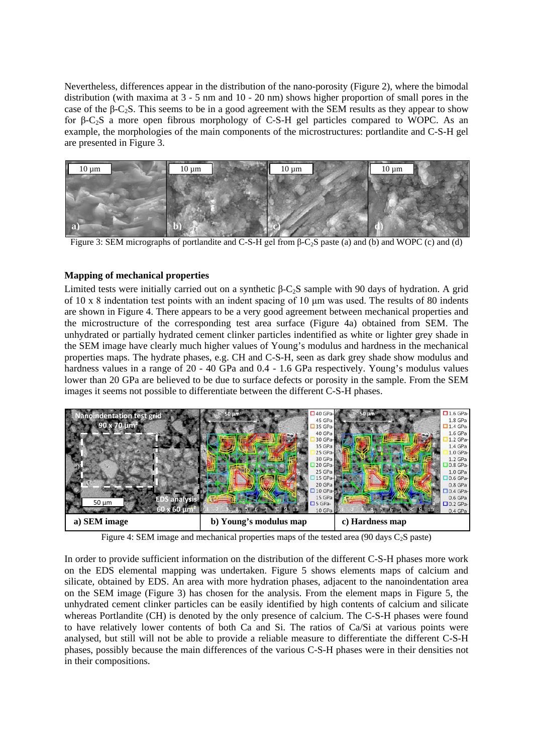Nevertheless, differences appear in the distribution of the nano-porosity [\(Figure 2\)](#page-2-2), where the bimodal distribution (with maxima at 3 - 5 nm and 10 - 20 nm) shows higher proportion of small pores in the case of the  $\beta$ -C<sub>2</sub>S. This seems to be in a good agreement with the SEM results as they appear to show for β-C2S a more open fibrous morphology of C-S-H gel particles compared to WOPC. As an example, the morphologies of the main components of the microstructures: portlandite and C-S-H gel are presented in [Figure 3.](#page-3-0)



<span id="page-3-0"></span>Figure 3: SEM micrographs of portlandite and C-S-H gel from β-C2S paste (a) and (b) and WOPC (c) and (d)

# **Mapping of mechanical properties**

Limited tests were initially carried out on a synthetic β-C<sub>2</sub>S sample with 90 days of hydration. A grid of 10 x 8 indentation test points with an indent spacing of 10 μm was used. The results of 80 indents are shown in [Figure 4.](#page-3-1) There appears to be a very good agreement between mechanical properties and the microstructure of the corresponding test area surface [\(Figure 4a](#page-3-1)) obtained from SEM. The unhydrated or partially hydrated cement clinker particles indentified as white or lighter grey shade in the SEM image have clearly much higher values of Young's modulus and hardness in the mechanical properties maps. The hydrate phases, e.g. CH and C-S-H, seen as dark grey shade show modulus and hardness values in a range of 20 - 40 GPa and 0.4 - 1.6 GPa respectively. Young's modulus values lower than 20 GPa are believed to be due to surface defects or porosity in the sample. From the SEM images it seems not possible to differentiate between the different C-S-H phases.



Figure 4: SEM image and mechanical properties maps of the tested area (90 days  $C_2$  paste)

<span id="page-3-1"></span>In order to provide sufficient information on the distribution of the different C-S-H phases more work on the EDS elemental mapping was undertaken. [Figure 5](#page-4-0) shows elements maps of calcium and silicate, obtained by EDS. An area with more hydration phases, adjacent to the nanoindentation area on the SEM image [\(Figure 3\)](#page-3-0) has chosen for the analysis. From the element maps in [Figure 5,](#page-4-0) the unhydrated cement clinker particles can be easily identified by high contents of calcium and silicate whereas Portlandite (CH) is denoted by the only presence of calcium. The C-S-H phases were found to have relatively lower contents of both Ca and Si. The ratios of Ca/Si at various points were analysed, but still will not be able to provide a reliable measure to differentiate the different C-S-H phases, possibly because the main differences of the various C-S-H phases were in their densities not in their compositions.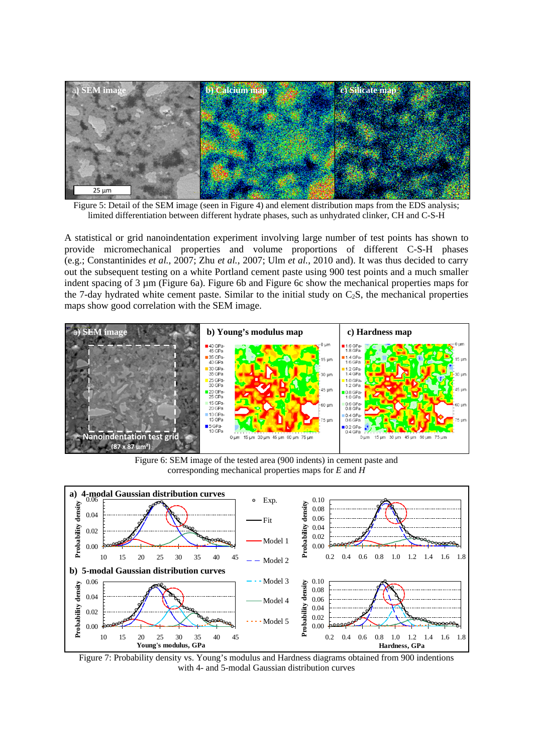

<span id="page-4-0"></span>Figure 5: Detail of the SEM image (seen in [Figure 4\)](#page-3-1) and element distribution maps from the EDS analysis; limited differentiation between different hydrate phases, such as unhydrated clinker, CH and C-S-H

A statistical or grid nanoindentation experiment involving large number of test points has shown to provide micromechanical properties and volume proportions of different C-S-H phases (e.g.; Constantinides *et al.*, 2007; Zhu *et al.*, 2007; Ulm *et al.*, 2010 and). It was thus decided to carry out the subsequent testing on a white Portland cement paste using 900 test points and a much smaller indent spacing of 3 µm [\(Figure 6a](#page-4-1)). [Figure 6b](#page-4-1) and [Figure](#page-4-1) 6c show the mechanical properties maps for the 7-day hydrated white cement paste. Similar to the initial study on  $C_2S$ , the mechanical properties maps show good correlation with the SEM image.



Figure 6: SEM image of the tested area (900 indents) in cement paste and corresponding mechanical properties maps for *E* and *H*

<span id="page-4-1"></span>

<span id="page-4-2"></span>Figure 7: Probability density vs. Young's modulus and Hardness diagrams obtained from 900 indentions with 4- and 5-modal Gaussian distribution curves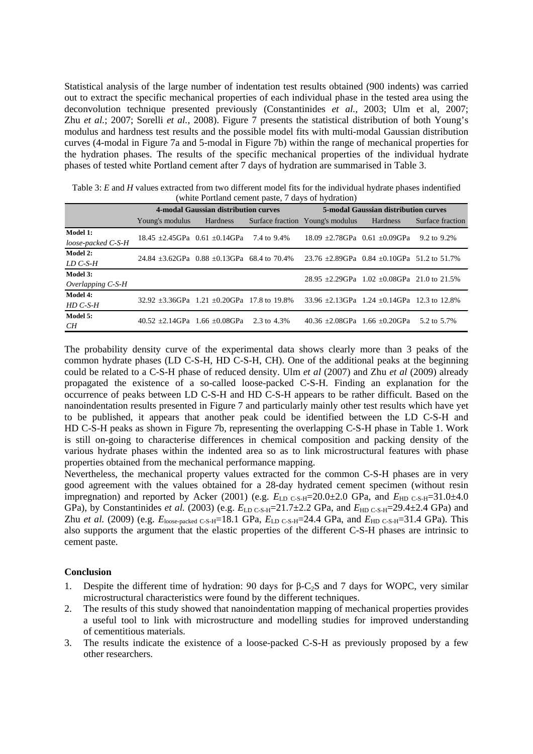Statistical analysis of the large number of indentation test results obtained (900 indents) was carried out to extract the specific mechanical properties of each individual phase in the tested area using the deconvolution technique presented previously (Constantinides *et al.,* 2003; Ulm et al, 2007; Zhu *et al.*; 2007; Sorelli *et al.*, 2008). [Figure 7](#page-4-2) presents the statistical distribution of both Young's modulus and hardness test results and the possible model fits with multi-modal Gaussian distribution curves (4-modal in Figure 7a and 5-modal in Figure 7b) within the range of mechanical properties for the hydration phases. The results of the specific mechanical properties of the individual hydrate phases of tested white Portland cement after 7 days of hydration are summarised in [Table 3.](#page-5-0)

<span id="page-5-0"></span>

| Table 3: E and H values extracted from two different model fits for the individual hydrate phases indentified |
|---------------------------------------------------------------------------------------------------------------|
| (white Portland cement paste, 7 days of hydration)                                                            |

| $\mathbf{u}$ and $\mathbf{u}$ compared the public $\mathbf{u}$ and $\mathbf{u}$ and $\mathbf{u}$ and $\mathbf{u}$ |                                                      |                                      |  |                                                      |          |                  |  |  |
|-------------------------------------------------------------------------------------------------------------------|------------------------------------------------------|--------------------------------------|--|------------------------------------------------------|----------|------------------|--|--|
|                                                                                                                   |                                                      | 4-modal Gaussian distribution curves |  | <b>5-modal Gaussian distribution curves</b>          |          |                  |  |  |
|                                                                                                                   | Young's modulus Hardness                             |                                      |  | Surface fraction Young's modulus                     | Hardness | Surface fraction |  |  |
| Model 1:<br>loose-packed C-S-H                                                                                    | 18.45 $\pm$ 2.45GPa 0.61 $\pm$ 0.14GPa 7.4 to 9.4%   |                                      |  | 18.09 $\pm$ 2.78GPa 0.61 $\pm$ 0.09GPa               |          | 9.2 to 9.2%      |  |  |
| Model 2:<br>LD C-S-H                                                                                              | 24.84 $\pm$ 3.62GPa 0.88 $\pm$ 0.13GPa 68.4 to 70.4% |                                      |  | 23.76 $\pm$ 2.89GPa 0.84 $\pm$ 0.10GPa 51.2 to 51.7% |          |                  |  |  |
| Model 3:<br>Overlapping $C$ -S-H                                                                                  |                                                      |                                      |  | 28.95 $\pm$ 2.29GPa 1.02 $\pm$ 0.08GPa 21.0 to 21.5% |          |                  |  |  |
| Model 4:<br>$HD C-S-H$                                                                                            | $32.92 + 3.36$ GPa $1.21 + 0.20$ GPa 17.8 to 19.8%   |                                      |  | $33.96 + 2.13$ GPa $1.24 + 0.14$ GPa $12.3$ to 12.8% |          |                  |  |  |
| Model 5:<br>CН                                                                                                    | $40.52 + 2.14$ GPa $1.66 + 0.08$ GPa $2.3$ to 4.3%   |                                      |  | 40.36 $\pm 2.08$ GPa 1.66 $\pm 0.20$ GPa             |          | 5.2 to 5.7%      |  |  |

The probability density curve of the experimental data shows clearly more than 3 peaks of the common hydrate phases (LD C-S-H, HD C-S-H, CH). One of the additional peaks at the beginning could be related to a C-S-H phase of reduced density. Ulm *et al* (2007) and Zhu *et al* (2009) already propagated the existence of a so-called loose-packed C-S-H. Finding an explanation for the occurrence of peaks between LD C-S-H and HD C-S-H appears to be rather difficult. Based on the nanoindentation results presented in [Figure 7](#page-4-2) and particularly mainly other test results which have yet to be published, it appears that another peak could be identified between the LD C-S-H and HD C-S-H peaks as shown in [Figure 7b](#page-4-2), representing the overlapping C-S-H phase in [Table 1.](#page-1-0) Work is still on-going to characterise differences in chemical composition and packing density of the various hydrate phases within the indented area so as to link microstructural features with phase properties obtained from the mechanical performance mapping.

Nevertheless, the mechanical property values extracted for the common C-S-H phases are in very good agreement with the values obtained for a 28-day hydrated cement specimen (without resin impregnation) and reported by Acker (2001) (e.g.  $E_{LD}$  C-S-H=20.0±2.0 GPa, and  $E_{HD}$  C-S-H=31.0±4.0 GPa), by Constantinides *et al.* (2003) (e.g.  $E_{LD C-S-H}$ =21.7±2.2 GPa, and  $E_{HD C-S-H}$ =29.4±2.4 GPa) and Zhu *et al.* (2009) (e.g. *E*loose-packed C-S-H=18.1 GPa, *E*LD C-S-H=24.4 GPa, and *E*HD C-S-H=31.4 GPa). This also supports the argument that the elastic properties of the different C-S-H phases are intrinsic to cement paste.

# **Conclusion**

- 1. Despite the different time of hydration: 90 days for β-C<sub>2</sub>S and 7 days for WOPC, very similar microstructural characteristics were found by the different techniques.
- 2. The results of this study showed that nanoindentation mapping of mechanical properties provides a useful tool to link with microstructure and modelling studies for improved understanding of cementitious materials.
- 3. The results indicate the existence of a loose-packed C-S-H as previously proposed by a few other researchers.